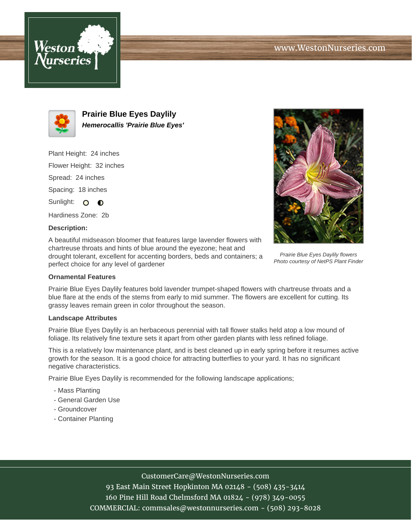



**Prairie Blue Eyes Daylily Hemerocallis 'Prairie Blue Eyes'**

Plant Height: 24 inches Flower Height: 32 inches Spread: 24 inches Spacing: 18 inches Sunlight: O O

Hardiness Zone: 2b

## **Description:**

A beautiful midseason bloomer that features large lavender flowers with chartreuse throats and hints of blue around the eyezone; heat and drought tolerant, excellent for accenting borders, beds and containers; a perfect choice for any level of gardener



Prairie Blue Eyes Daylily flowers Photo courtesy of NetPS Plant Finder

## **Ornamental Features**

Prairie Blue Eyes Daylily features bold lavender trumpet-shaped flowers with chartreuse throats and a blue flare at the ends of the stems from early to mid summer. The flowers are excellent for cutting. Its grassy leaves remain green in color throughout the season.

#### **Landscape Attributes**

Prairie Blue Eyes Daylily is an herbaceous perennial with tall flower stalks held atop a low mound of foliage. Its relatively fine texture sets it apart from other garden plants with less refined foliage.

This is a relatively low maintenance plant, and is best cleaned up in early spring before it resumes active growth for the season. It is a good choice for attracting butterflies to your yard. It has no significant negative characteristics.

Prairie Blue Eyes Daylily is recommended for the following landscape applications;

- Mass Planting
- General Garden Use
- Groundcover
- Container Planting

# CustomerCare@WestonNurseries.com

93 East Main Street Hopkinton MA 02148 - (508) 435-3414 160 Pine Hill Road Chelmsford MA 01824 - (978) 349-0055 COMMERCIAL: commsales@westonnurseries.com - (508) 293-8028